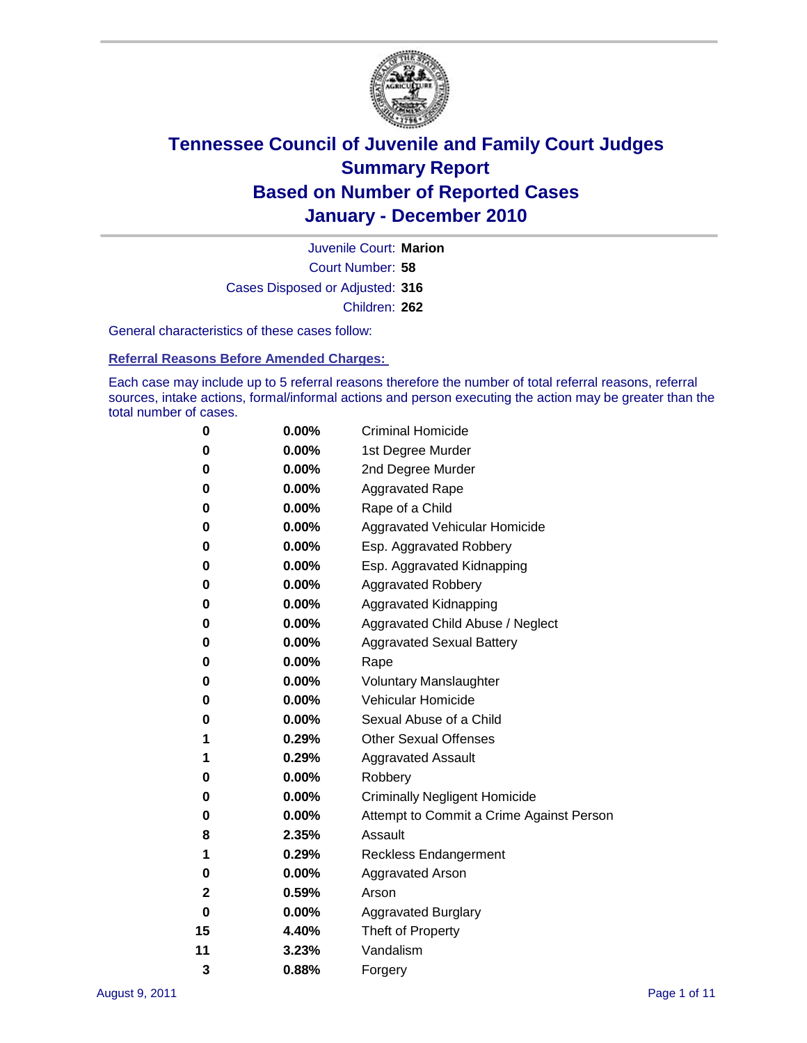

Court Number: **58** Juvenile Court: **Marion** Cases Disposed or Adjusted: **316** Children: **262**

General characteristics of these cases follow:

**Referral Reasons Before Amended Charges:** 

Each case may include up to 5 referral reasons therefore the number of total referral reasons, referral sources, intake actions, formal/informal actions and person executing the action may be greater than the total number of cases.

| 0  | 0.00%    | <b>Criminal Homicide</b>                 |
|----|----------|------------------------------------------|
| 0  | 0.00%    | 1st Degree Murder                        |
| 0  | 0.00%    | 2nd Degree Murder                        |
| 0  | 0.00%    | <b>Aggravated Rape</b>                   |
| 0  | 0.00%    | Rape of a Child                          |
| 0  | 0.00%    | Aggravated Vehicular Homicide            |
| 0  | 0.00%    | Esp. Aggravated Robbery                  |
| 0  | 0.00%    | Esp. Aggravated Kidnapping               |
| 0  | 0.00%    | <b>Aggravated Robbery</b>                |
| 0  | 0.00%    | Aggravated Kidnapping                    |
| 0  | 0.00%    | Aggravated Child Abuse / Neglect         |
| 0  | $0.00\%$ | <b>Aggravated Sexual Battery</b>         |
| 0  | 0.00%    | Rape                                     |
| 0  | $0.00\%$ | <b>Voluntary Manslaughter</b>            |
| 0  | 0.00%    | Vehicular Homicide                       |
| 0  | 0.00%    | Sexual Abuse of a Child                  |
| 1  | 0.29%    | <b>Other Sexual Offenses</b>             |
| 1  | 0.29%    | <b>Aggravated Assault</b>                |
| 0  | $0.00\%$ | Robbery                                  |
| 0  | 0.00%    | <b>Criminally Negligent Homicide</b>     |
| 0  | 0.00%    | Attempt to Commit a Crime Against Person |
| 8  | 2.35%    | Assault                                  |
| 1  | 0.29%    | <b>Reckless Endangerment</b>             |
| 0  | 0.00%    | <b>Aggravated Arson</b>                  |
| 2  | 0.59%    | Arson                                    |
| 0  | 0.00%    | <b>Aggravated Burglary</b>               |
| 15 | 4.40%    | Theft of Property                        |
| 11 | 3.23%    | Vandalism                                |
| 3  | 0.88%    | Forgery                                  |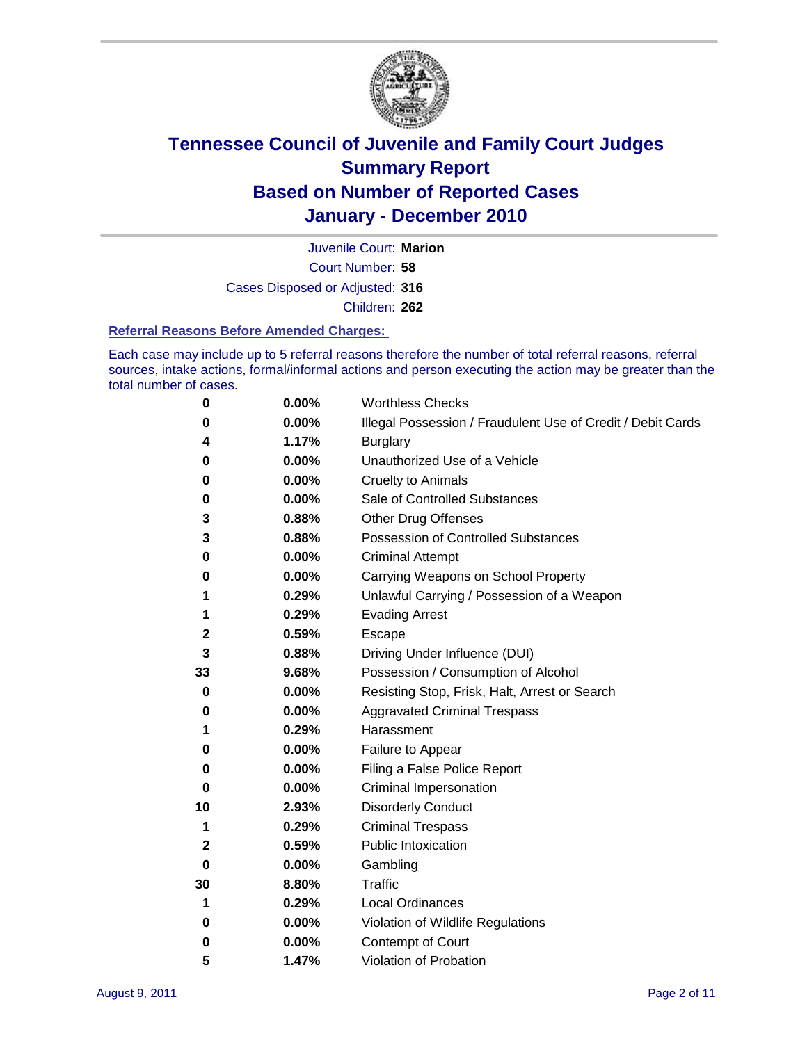

Court Number: **58** Juvenile Court: **Marion** Cases Disposed or Adjusted: **316** Children: **262**

#### **Referral Reasons Before Amended Charges:**

Each case may include up to 5 referral reasons therefore the number of total referral reasons, referral sources, intake actions, formal/informal actions and person executing the action may be greater than the total number of cases.

| 0            | 0.00%    | <b>Worthless Checks</b>                                     |
|--------------|----------|-------------------------------------------------------------|
| 0            | 0.00%    | Illegal Possession / Fraudulent Use of Credit / Debit Cards |
| 4            | 1.17%    | <b>Burglary</b>                                             |
| 0            | 0.00%    | Unauthorized Use of a Vehicle                               |
| 0            | $0.00\%$ | <b>Cruelty to Animals</b>                                   |
| 0            | 0.00%    | Sale of Controlled Substances                               |
| 3            | 0.88%    | <b>Other Drug Offenses</b>                                  |
| 3            | 0.88%    | <b>Possession of Controlled Substances</b>                  |
| 0            | 0.00%    | <b>Criminal Attempt</b>                                     |
| 0            | 0.00%    | Carrying Weapons on School Property                         |
| 1            | 0.29%    | Unlawful Carrying / Possession of a Weapon                  |
| 1            | 0.29%    | <b>Evading Arrest</b>                                       |
| $\mathbf{2}$ | 0.59%    | Escape                                                      |
| 3            | 0.88%    | Driving Under Influence (DUI)                               |
| 33           | 9.68%    | Possession / Consumption of Alcohol                         |
| 0            | 0.00%    | Resisting Stop, Frisk, Halt, Arrest or Search               |
| 0            | $0.00\%$ | <b>Aggravated Criminal Trespass</b>                         |
| 1            | 0.29%    | Harassment                                                  |
| 0            | 0.00%    | Failure to Appear                                           |
| 0            | 0.00%    | Filing a False Police Report                                |
| 0            | 0.00%    | Criminal Impersonation                                      |
| 10           | 2.93%    | <b>Disorderly Conduct</b>                                   |
| 1            | 0.29%    | <b>Criminal Trespass</b>                                    |
| $\mathbf{2}$ | 0.59%    | <b>Public Intoxication</b>                                  |
| 0            | $0.00\%$ | Gambling                                                    |
| 30           | 8.80%    | Traffic                                                     |
| 1            | 0.29%    | <b>Local Ordinances</b>                                     |
| 0            | 0.00%    | Violation of Wildlife Regulations                           |
| 0            | $0.00\%$ | Contempt of Court                                           |
| 5            | 1.47%    | Violation of Probation                                      |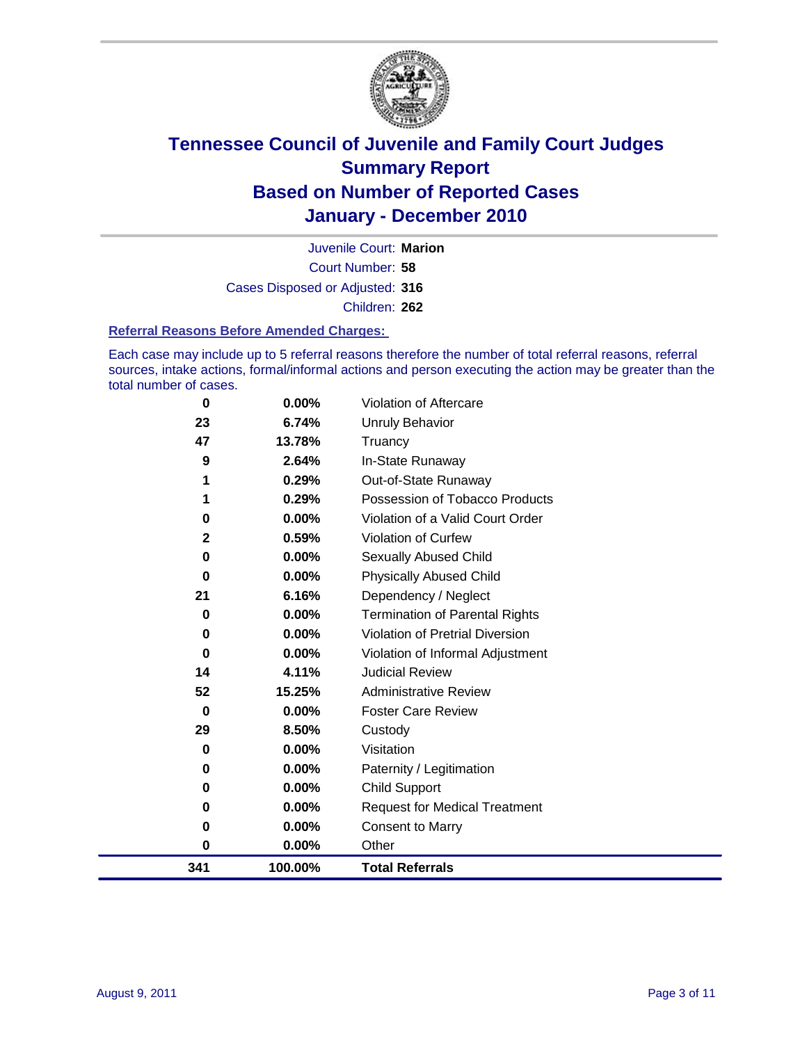

Court Number: **58** Juvenile Court: **Marion** Cases Disposed or Adjusted: **316** Children: **262**

#### **Referral Reasons Before Amended Charges:**

Each case may include up to 5 referral reasons therefore the number of total referral reasons, referral sources, intake actions, formal/informal actions and person executing the action may be greater than the total number of cases.

| 341          | 100.00% | <b>Total Referrals</b>                 |
|--------------|---------|----------------------------------------|
| 0            | 0.00%   | Other                                  |
| 0            | 0.00%   | <b>Consent to Marry</b>                |
| 0            | 0.00%   | <b>Request for Medical Treatment</b>   |
| 0            | 0.00%   | <b>Child Support</b>                   |
| 0            | 0.00%   | Paternity / Legitimation               |
| 0            | 0.00%   | Visitation                             |
| 29           | 8.50%   | Custody                                |
| $\bf{0}$     | 0.00%   | <b>Foster Care Review</b>              |
| 52           | 15.25%  | <b>Administrative Review</b>           |
| 14           | 4.11%   | <b>Judicial Review</b>                 |
| 0            | 0.00%   | Violation of Informal Adjustment       |
| 0            | 0.00%   | <b>Violation of Pretrial Diversion</b> |
| $\bf{0}$     | 0.00%   | Termination of Parental Rights         |
| 21           | 6.16%   | Dependency / Neglect                   |
| 0            | 0.00%   | <b>Physically Abused Child</b>         |
| 0            | 0.00%   | <b>Sexually Abused Child</b>           |
| $\mathbf{2}$ | 0.59%   | Violation of Curfew                    |
| 0            | 0.00%   | Violation of a Valid Court Order       |
| 1            | 0.29%   | Possession of Tobacco Products         |
| 1            | 0.29%   | Out-of-State Runaway                   |
| 9            | 2.64%   | In-State Runaway                       |
| 47           | 13.78%  | Truancy                                |
| 23           | 6.74%   | <b>Unruly Behavior</b>                 |
| $\bf{0}$     | 0.00%   | Violation of Aftercare                 |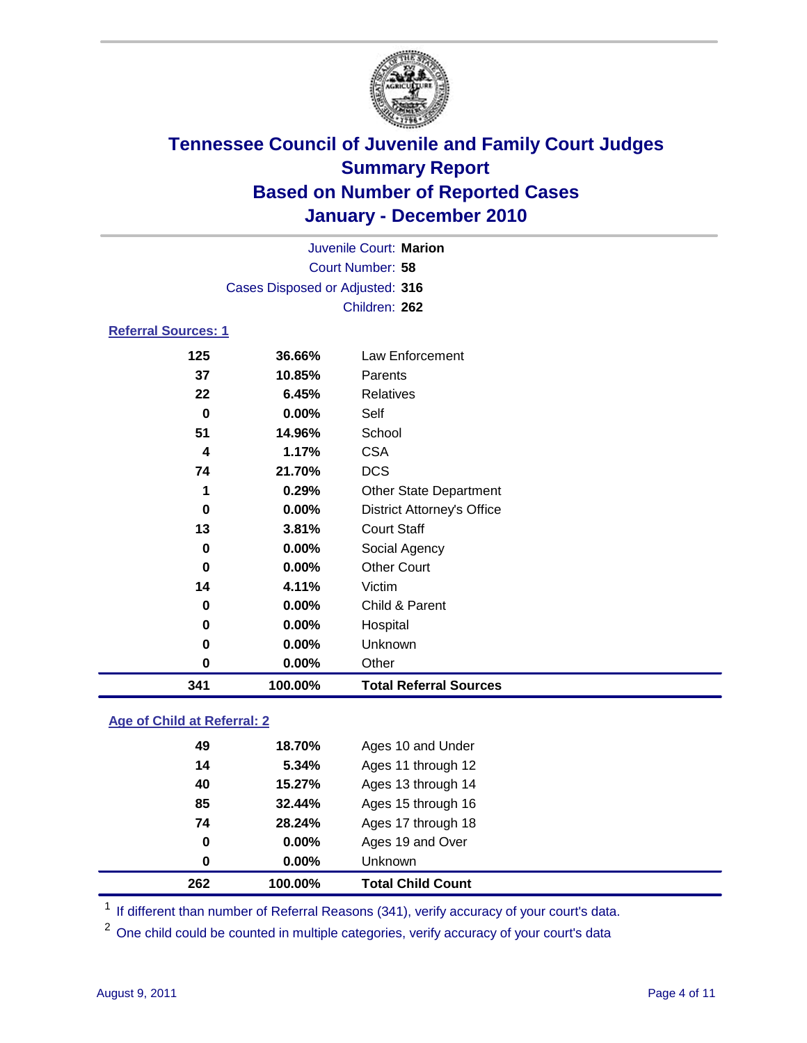

|                            | Juvenile Court: Marion          |                                   |  |  |  |
|----------------------------|---------------------------------|-----------------------------------|--|--|--|
|                            | Court Number: 58                |                                   |  |  |  |
|                            | Cases Disposed or Adjusted: 316 |                                   |  |  |  |
|                            |                                 | Children: 262                     |  |  |  |
| <b>Referral Sources: 1</b> |                                 |                                   |  |  |  |
| 125                        | 36.66%                          | Law Enforcement                   |  |  |  |
| 37                         | 10.85%                          | Parents                           |  |  |  |
| 22                         | 6.45%                           | Relatives                         |  |  |  |
| $\bf{0}$                   | 0.00%                           | Self                              |  |  |  |
| 51                         | 14.96%                          | School                            |  |  |  |
| 4                          | 1.17%                           | <b>CSA</b>                        |  |  |  |
| 74                         | 21.70%                          | <b>DCS</b>                        |  |  |  |
| 1                          | 0.29%                           | <b>Other State Department</b>     |  |  |  |
| 0                          | 0.00%                           | <b>District Attorney's Office</b> |  |  |  |
| 13                         | 3.81%                           | <b>Court Staff</b>                |  |  |  |
| 0                          | 0.00%                           | Social Agency                     |  |  |  |
| $\bf{0}$                   | 0.00%                           | <b>Other Court</b>                |  |  |  |
| 14                         | 4.11%                           | Victim                            |  |  |  |
| 0                          | 0.00%                           | Child & Parent                    |  |  |  |
| 0                          | 0.00%                           | Hospital                          |  |  |  |
| 0                          | 0.00%                           | Unknown                           |  |  |  |
| 0                          | 0.00%                           | Other                             |  |  |  |
| 341                        | 100.00%                         | <b>Total Referral Sources</b>     |  |  |  |

### **Age of Child at Referral: 2**

| 0<br>0 | 0.00%<br>$0.00\%$ | Ages 19 and Over<br><b>Unknown</b> |
|--------|-------------------|------------------------------------|
|        |                   |                                    |
|        |                   |                                    |
| 74     |                   | Ages 17 through 18                 |
| 85     | 32.44%            | Ages 15 through 16                 |
| 40     | 15.27%            | Ages 13 through 14                 |
| 14     | 5.34%             | Ages 11 through 12                 |
| 49     | 18.70%            | Ages 10 and Under                  |
|        |                   | 28.24%                             |

<sup>1</sup> If different than number of Referral Reasons (341), verify accuracy of your court's data.

<sup>2</sup> One child could be counted in multiple categories, verify accuracy of your court's data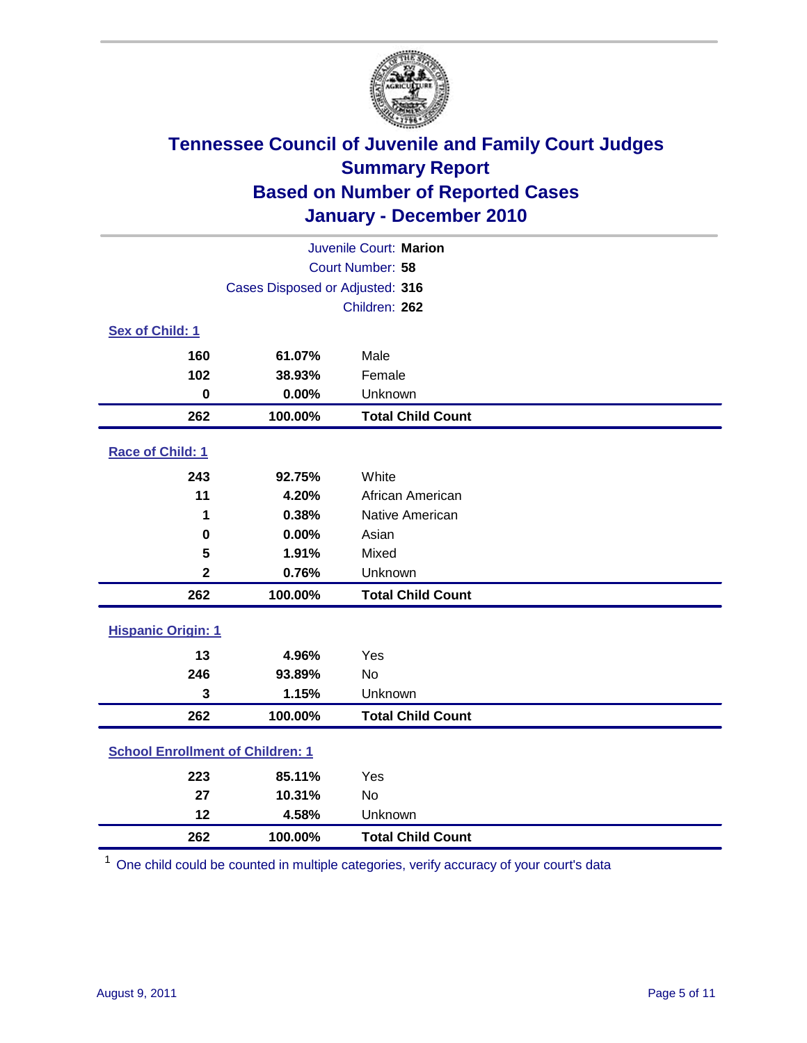

|                                         | Juvenile Court: Marion          |                          |  |  |  |
|-----------------------------------------|---------------------------------|--------------------------|--|--|--|
| Court Number: 58                        |                                 |                          |  |  |  |
|                                         | Cases Disposed or Adjusted: 316 |                          |  |  |  |
|                                         |                                 | Children: 262            |  |  |  |
| Sex of Child: 1                         |                                 |                          |  |  |  |
| 160                                     | 61.07%                          | Male                     |  |  |  |
| 102                                     | 38.93%                          | Female                   |  |  |  |
| $\mathbf 0$                             | 0.00%                           | Unknown                  |  |  |  |
| 262                                     | 100.00%                         | <b>Total Child Count</b> |  |  |  |
| Race of Child: 1                        |                                 |                          |  |  |  |
| 243                                     | 92.75%                          | White                    |  |  |  |
| 11                                      | 4.20%                           | African American         |  |  |  |
| 1                                       | 0.38%                           | Native American          |  |  |  |
| $\mathbf 0$                             | 0.00%                           | Asian                    |  |  |  |
| 5                                       | 1.91%                           | Mixed                    |  |  |  |
| $\overline{\mathbf{2}}$                 | 0.76%                           | Unknown                  |  |  |  |
| 262                                     | 100.00%                         | <b>Total Child Count</b> |  |  |  |
| <b>Hispanic Origin: 1</b>               |                                 |                          |  |  |  |
| 13                                      | 4.96%                           | Yes                      |  |  |  |
| 246                                     | 93.89%                          | No                       |  |  |  |
| 3                                       | 1.15%                           | Unknown                  |  |  |  |
| 262                                     | 100.00%                         | <b>Total Child Count</b> |  |  |  |
| <b>School Enrollment of Children: 1</b> |                                 |                          |  |  |  |
| 223                                     | 85.11%                          | Yes                      |  |  |  |
| 27                                      | 10.31%                          | <b>No</b>                |  |  |  |
| 12                                      | 4.58%                           | Unknown                  |  |  |  |
| 262                                     | 100.00%                         | <b>Total Child Count</b> |  |  |  |

One child could be counted in multiple categories, verify accuracy of your court's data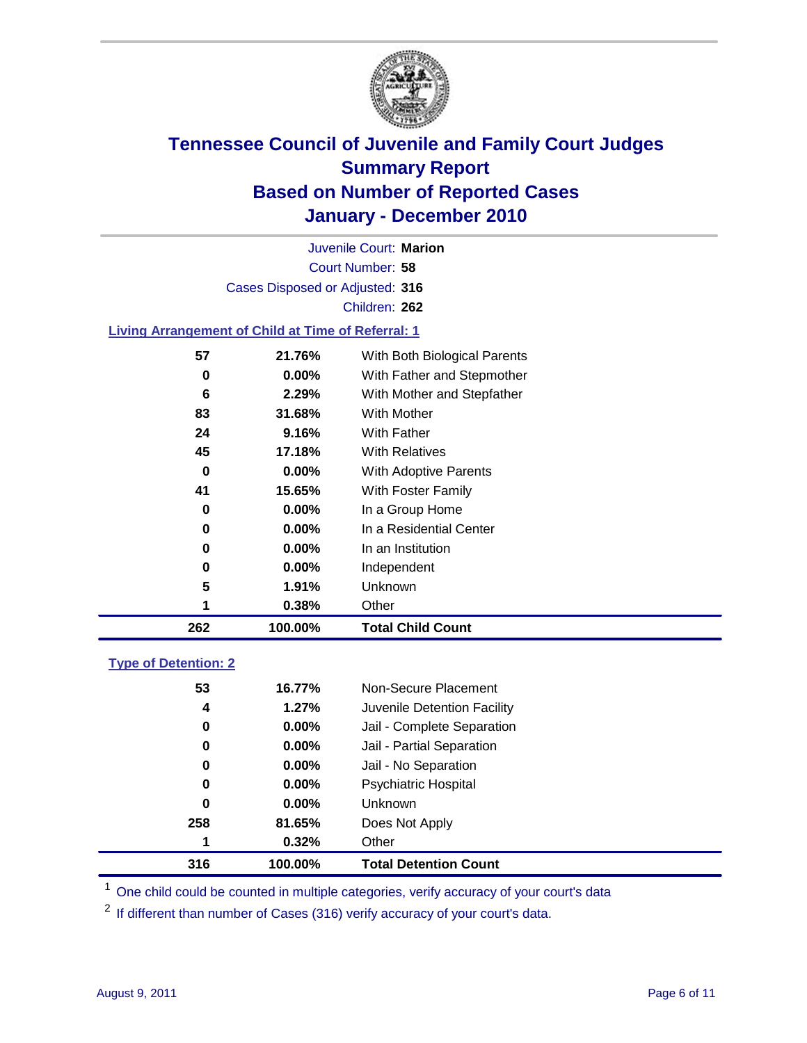

Court Number: **58** Juvenile Court: **Marion** Cases Disposed or Adjusted: **316** Children: **262**

#### **Living Arrangement of Child at Time of Referral: 1**

| 262 | 100.00%  | <b>Total Child Count</b>     |
|-----|----------|------------------------------|
| 1   | 0.38%    | Other                        |
| 5   | 1.91%    | Unknown                      |
| 0   | $0.00\%$ | Independent                  |
| 0   | $0.00\%$ | In an Institution            |
| 0   | $0.00\%$ | In a Residential Center      |
| 0   | 0.00%    | In a Group Home              |
| 41  | 15.65%   | With Foster Family           |
| 0   | $0.00\%$ | With Adoptive Parents        |
| 45  | 17.18%   | <b>With Relatives</b>        |
| 24  | 9.16%    | <b>With Father</b>           |
| 83  | 31.68%   | <b>With Mother</b>           |
| 6   | 2.29%    | With Mother and Stepfather   |
| 0   | $0.00\%$ | With Father and Stepmother   |
| 57  | 21.76%   | With Both Biological Parents |
|     |          |                              |

### **Type of Detention: 2**

| 316 | 100.00%  | <b>Total Detention Count</b> |  |
|-----|----------|------------------------------|--|
| 1   | 0.32%    | Other                        |  |
| 258 | 81.65%   | Does Not Apply               |  |
| 0   | $0.00\%$ | <b>Unknown</b>               |  |
| 0   | $0.00\%$ | Psychiatric Hospital         |  |
| 0   | 0.00%    | Jail - No Separation         |  |
| 0   | $0.00\%$ | Jail - Partial Separation    |  |
| 0   | 0.00%    | Jail - Complete Separation   |  |
| 4   | 1.27%    | Juvenile Detention Facility  |  |
| 53  | 16.77%   | Non-Secure Placement         |  |
|     |          |                              |  |

<sup>1</sup> One child could be counted in multiple categories, verify accuracy of your court's data

<sup>2</sup> If different than number of Cases (316) verify accuracy of your court's data.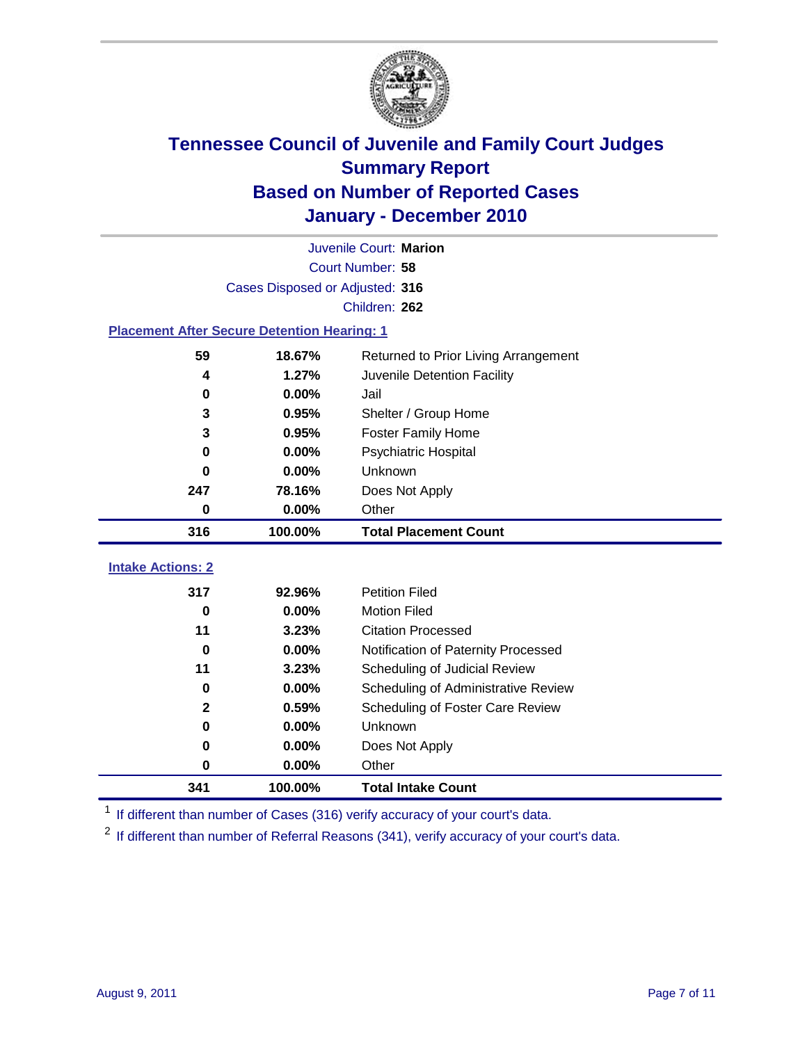

|                                                    | Juvenile Court: Marion          |                                      |  |  |  |
|----------------------------------------------------|---------------------------------|--------------------------------------|--|--|--|
|                                                    | Court Number: 58                |                                      |  |  |  |
|                                                    | Cases Disposed or Adjusted: 316 |                                      |  |  |  |
|                                                    |                                 | Children: 262                        |  |  |  |
| <b>Placement After Secure Detention Hearing: 1</b> |                                 |                                      |  |  |  |
| 59                                                 | 18.67%                          | Returned to Prior Living Arrangement |  |  |  |
| 4                                                  | 1.27%                           | Juvenile Detention Facility          |  |  |  |
| 0                                                  | 0.00%                           | Jail                                 |  |  |  |
| 3                                                  | 0.95%                           | Shelter / Group Home                 |  |  |  |
| 3                                                  | 0.95%                           | Foster Family Home                   |  |  |  |
| 0                                                  | 0.00%                           | Psychiatric Hospital                 |  |  |  |
| 0                                                  | 0.00%                           | Unknown                              |  |  |  |
| 247                                                | 78.16%                          | Does Not Apply                       |  |  |  |
| 0                                                  | 0.00%                           | Other                                |  |  |  |
| 316                                                | 100.00%                         | <b>Total Placement Count</b>         |  |  |  |
| <b>Intake Actions: 2</b>                           |                                 |                                      |  |  |  |
| 317                                                | 92.96%                          | <b>Petition Filed</b>                |  |  |  |
| $\bf{0}$                                           | 0.00%                           | <b>Motion Filed</b>                  |  |  |  |
| 11                                                 | 3.23%                           | <b>Citation Processed</b>            |  |  |  |
| $\bf{0}$                                           | 0.00%                           | Notification of Paternity Processed  |  |  |  |
| 11                                                 | 3.23%                           | Scheduling of Judicial Review        |  |  |  |
| 0                                                  | 0.00%                           | Scheduling of Administrative Review  |  |  |  |
| $\mathbf{2}$                                       | 0.59%                           | Scheduling of Foster Care Review     |  |  |  |
| $\bf{0}$                                           | 0.00%                           | Unknown                              |  |  |  |
| 0                                                  | 0.00%                           | Does Not Apply                       |  |  |  |
| 0                                                  | 0.00%                           | Other                                |  |  |  |
|                                                    |                                 |                                      |  |  |  |

<sup>1</sup> If different than number of Cases (316) verify accuracy of your court's data.

<sup>2</sup> If different than number of Referral Reasons (341), verify accuracy of your court's data.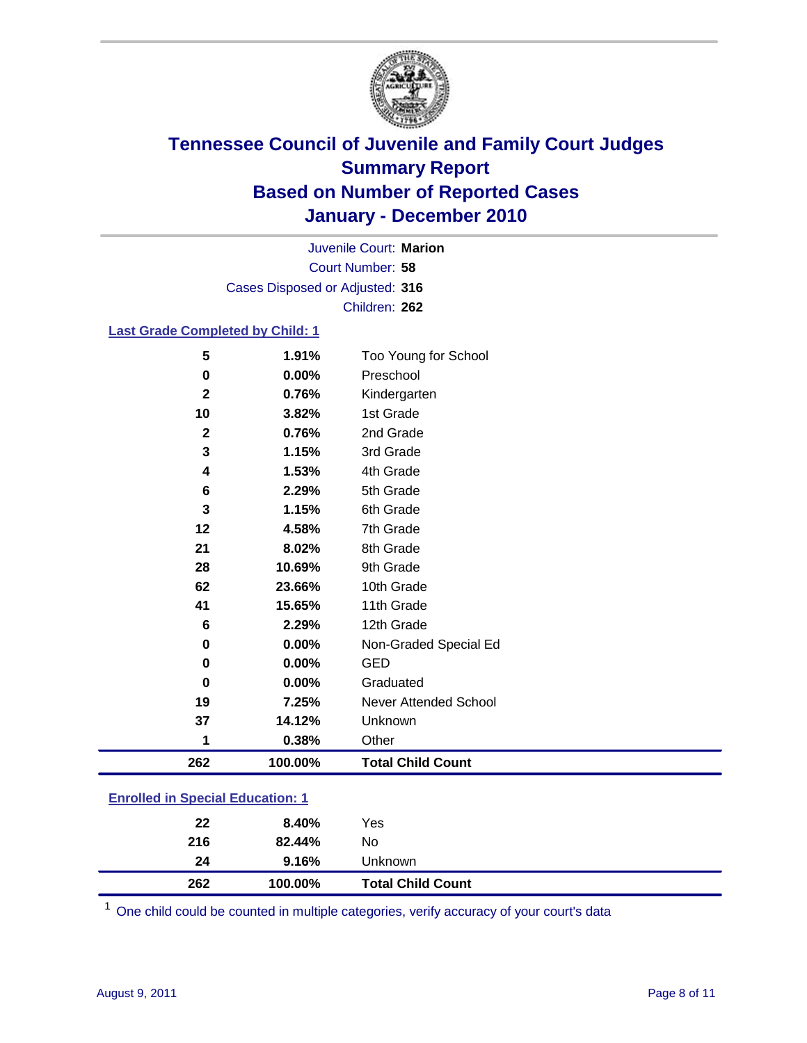

Court Number: **58** Juvenile Court: **Marion** Cases Disposed or Adjusted: **316** Children: **262**

#### **Last Grade Completed by Child: 1**

| 262            | 100.00%        | <b>Total Child Count</b>          |  |
|----------------|----------------|-----------------------------------|--|
| 1              | 0.38%          | Other                             |  |
| 37             | 14.12%         | Unknown                           |  |
| 19             | 7.25%          | Never Attended School             |  |
| 0              | 0.00%          | Graduated                         |  |
| 0              | 0.00%          | <b>GED</b>                        |  |
| 0              | 0.00%          | Non-Graded Special Ed             |  |
| 6              | 2.29%          | 12th Grade                        |  |
| 41             | 15.65%         | 11th Grade                        |  |
| 62             | 23.66%         | 10th Grade                        |  |
| 28             | 10.69%         | 9th Grade                         |  |
| 21             | 8.02%          | 8th Grade                         |  |
| 12             | 4.58%          | 7th Grade                         |  |
| 3              | 1.15%          | 6th Grade                         |  |
| 6              | 2.29%          | 5th Grade                         |  |
| 4              | 1.53%          | 4th Grade                         |  |
| 3              | 1.15%          | 3rd Grade                         |  |
| $\mathbf{2}$   | 0.76%          | 2nd Grade                         |  |
| 10             | 3.82%          | 1st Grade                         |  |
| $\mathbf{2}$   | 0.76%          | Kindergarten                      |  |
| 5<br>$\pmb{0}$ | 1.91%<br>0.00% | Too Young for School<br>Preschool |  |

### **Enrolled in Special Education: 1**

| 262 | 100.00% | <b>Total Child Count</b> |
|-----|---------|--------------------------|
| 24  | 9.16%   | Unknown                  |
| 216 | 82.44%  | No                       |
| 22  | 8.40%   | Yes                      |
|     |         |                          |

One child could be counted in multiple categories, verify accuracy of your court's data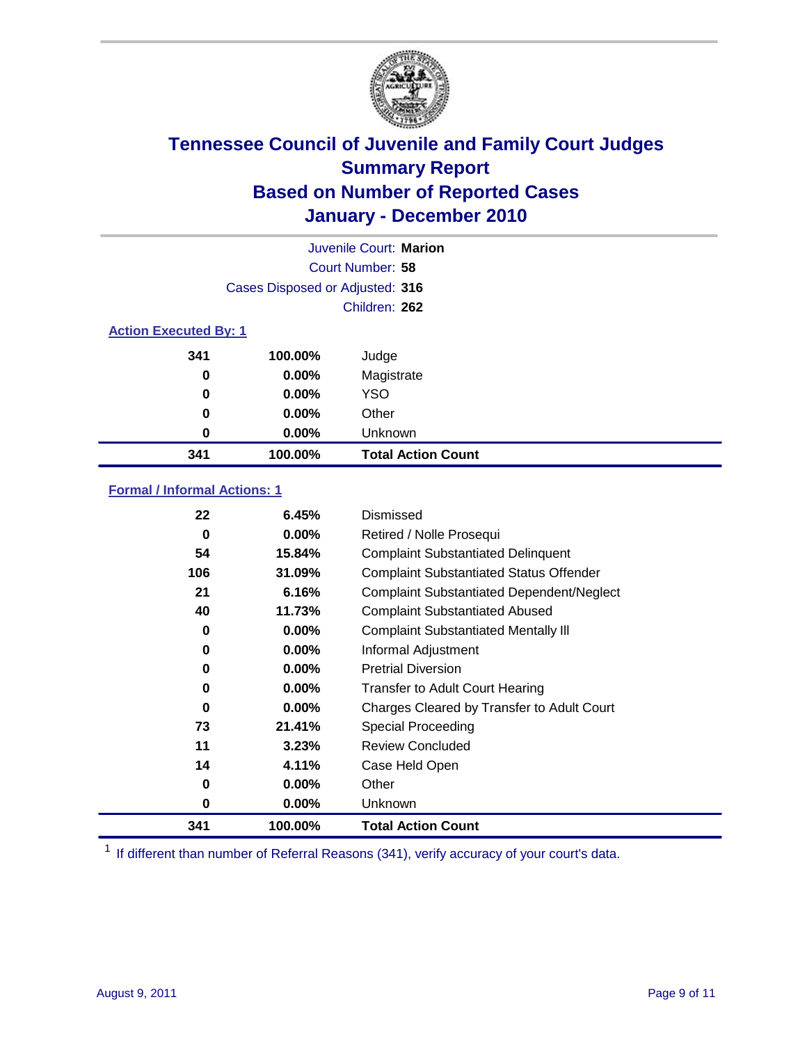

|                              | Juvenile Court: Marion          |                           |  |  |
|------------------------------|---------------------------------|---------------------------|--|--|
|                              | Court Number: 58                |                           |  |  |
|                              | Cases Disposed or Adjusted: 316 |                           |  |  |
|                              |                                 | Children: 262             |  |  |
| <b>Action Executed By: 1</b> |                                 |                           |  |  |
| 341                          | 100.00%                         | Judge                     |  |  |
| 0                            | 0.00%                           | Magistrate                |  |  |
| 0                            | 0.00%                           | <b>YSO</b>                |  |  |
| 0                            | 0.00%                           | Other                     |  |  |
| 0                            | 0.00%                           | Unknown                   |  |  |
| 341                          | 100.00%                         | <b>Total Action Count</b> |  |  |

### **Formal / Informal Actions: 1**

| 22  | 6.45%    | Dismissed                                        |
|-----|----------|--------------------------------------------------|
| 0   | $0.00\%$ | Retired / Nolle Prosequi                         |
| 54  | 15.84%   | <b>Complaint Substantiated Delinquent</b>        |
| 106 | 31.09%   | <b>Complaint Substantiated Status Offender</b>   |
| 21  | 6.16%    | <b>Complaint Substantiated Dependent/Neglect</b> |
| 40  | 11.73%   | <b>Complaint Substantiated Abused</b>            |
| 0   | $0.00\%$ | <b>Complaint Substantiated Mentally III</b>      |
| 0   | $0.00\%$ | Informal Adjustment                              |
| 0   | $0.00\%$ | <b>Pretrial Diversion</b>                        |
| 0   | $0.00\%$ | <b>Transfer to Adult Court Hearing</b>           |
| 0   | $0.00\%$ | Charges Cleared by Transfer to Adult Court       |
| 73  | 21.41%   | Special Proceeding                               |
| 11  | 3.23%    | <b>Review Concluded</b>                          |
| 14  | 4.11%    | Case Held Open                                   |
| 0   | $0.00\%$ | Other                                            |
| 0   | $0.00\%$ | Unknown                                          |
| 341 | 100.00%  | Total Action Count                               |

<sup>1</sup> If different than number of Referral Reasons (341), verify accuracy of your court's data.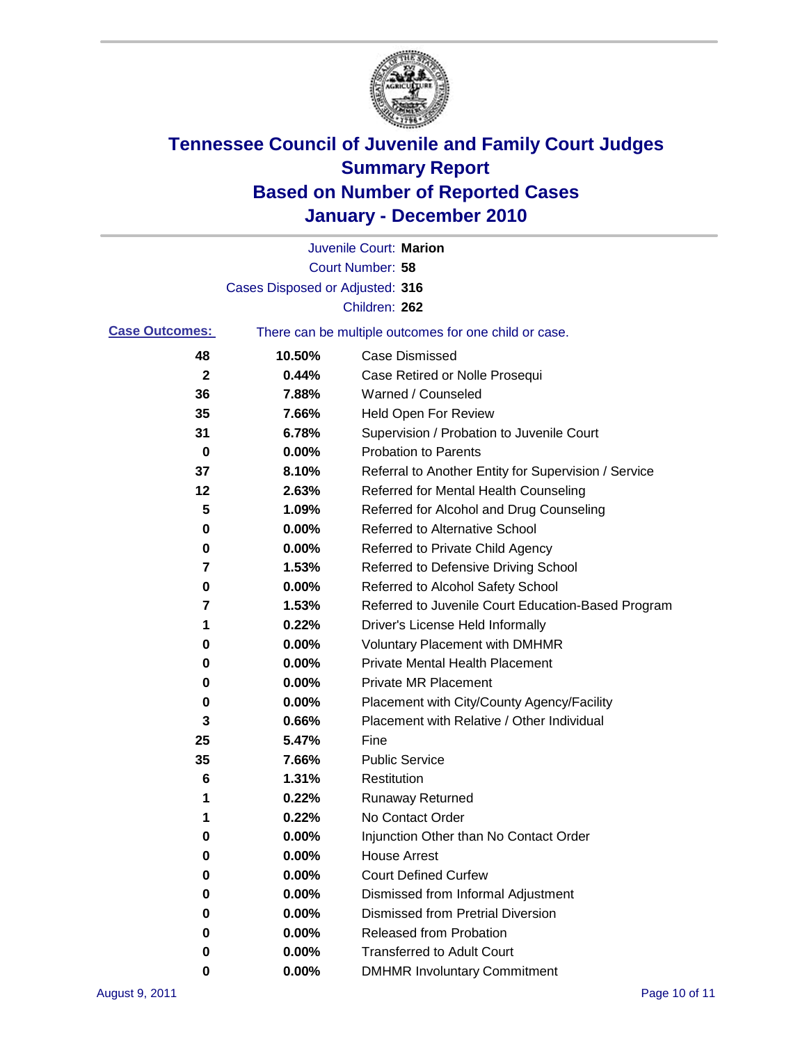

|                       |                                 | Juvenile Court: Marion                                |
|-----------------------|---------------------------------|-------------------------------------------------------|
|                       |                                 | <b>Court Number: 58</b>                               |
|                       | Cases Disposed or Adjusted: 316 |                                                       |
|                       |                                 | Children: 262                                         |
| <b>Case Outcomes:</b> |                                 | There can be multiple outcomes for one child or case. |
| 48                    | 10.50%                          | <b>Case Dismissed</b>                                 |
| $\mathbf{2}$          | 0.44%                           | Case Retired or Nolle Prosequi                        |
| 36                    | 7.88%                           | Warned / Counseled                                    |
| 35                    | 7.66%                           | Held Open For Review                                  |
| 31                    | 6.78%                           | Supervision / Probation to Juvenile Court             |
| 0                     | 0.00%                           | <b>Probation to Parents</b>                           |
| 37                    | 8.10%                           | Referral to Another Entity for Supervision / Service  |
| 12                    | 2.63%                           | Referred for Mental Health Counseling                 |
| 5                     | 1.09%                           | Referred for Alcohol and Drug Counseling              |
| 0                     | 0.00%                           | <b>Referred to Alternative School</b>                 |
| 0                     | 0.00%                           | Referred to Private Child Agency                      |
| 7                     | 1.53%                           | Referred to Defensive Driving School                  |
| 0                     | 0.00%                           | Referred to Alcohol Safety School                     |
| 7                     | 1.53%                           | Referred to Juvenile Court Education-Based Program    |
| 1                     | 0.22%                           | Driver's License Held Informally                      |
| 0                     | 0.00%                           | <b>Voluntary Placement with DMHMR</b>                 |
| 0                     | 0.00%                           | Private Mental Health Placement                       |
| 0                     | 0.00%                           | <b>Private MR Placement</b>                           |
| 0                     | 0.00%                           | Placement with City/County Agency/Facility            |
| 3                     | 0.66%                           | Placement with Relative / Other Individual            |
| 25                    | 5.47%                           | Fine                                                  |
| 35                    | 7.66%                           | <b>Public Service</b>                                 |
| 6                     | 1.31%                           | Restitution                                           |
| 1                     | 0.22%                           | <b>Runaway Returned</b>                               |
| 1                     | 0.22%                           | No Contact Order                                      |
| 0                     | 0.00%                           | Injunction Other than No Contact Order                |
| 0                     | 0.00%                           | <b>House Arrest</b>                                   |
| 0                     | 0.00%                           | <b>Court Defined Curfew</b>                           |
| 0                     | $0.00\%$                        | Dismissed from Informal Adjustment                    |
| 0                     | $0.00\%$                        | <b>Dismissed from Pretrial Diversion</b>              |
| 0                     | 0.00%                           | Released from Probation                               |
| 0                     | 0.00%                           | <b>Transferred to Adult Court</b>                     |
| 0                     | 0.00%                           | <b>DMHMR Involuntary Commitment</b>                   |